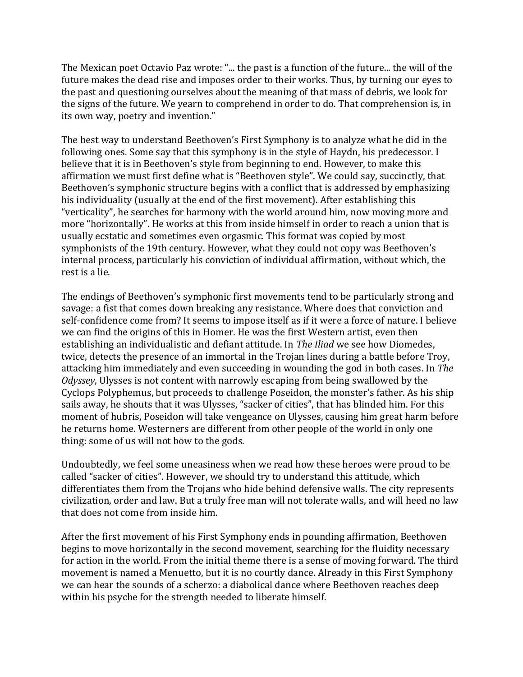The Mexican poet Octavio Paz wrote: "... the past is a function of the future... the will of the future makes the dead rise and imposes order to their works. Thus, by turning our eyes to the past and questioning ourselves about the meaning of that mass of debris, we look for the signs of the future. We yearn to comprehend in order to do. That comprehension is, in its own way, poetry and invention."

The best way to understand Beethoven's First Symphony is to analyze what he did in the following ones. Some say that this symphony is in the style of Haydn, his predecessor. I believe that it is in Beethoven's style from beginning to end. However, to make this affirmation we must first define what is "Beethoven style". We could say, succinctly, that Beethoven's symphonic structure begins with a conflict that is addressed by emphasizing his individuality (usually at the end of the first movement). After establishing this "verticality", he searches for harmony with the world around him, now moving more and more "horizontally". He works at this from inside himself in order to reach a union that is usually ecstatic and sometimes even orgasmic. This format was copied by most symphonists of the 19th century. However, what they could not copy was Beethoven's internal process, particularly his conviction of individual affirmation, without which, the rest is a lie.

The endings of Beethoven's symphonic first movements tend to be particularly strong and savage: a fist that comes down breaking any resistance. Where does that conviction and self-confidence come from? It seems to impose itself as if it were a force of nature. I believe we can find the origins of this in Homer. He was the first Western artist, even then establishing an individualistic and defiant attitude. In *The Iliad* we see how Diomedes, twice, detects the presence of an immortal in the Trojan lines during a battle before Troy, attacking him immediately and even succeeding in wounding the god in both cases. In *The Odyssey*, Ulysses is not content with narrowly escaping from being swallowed by the Cyclops Polyphemus, but proceeds to challenge Poseidon, the monster's father. As his ship sails away, he shouts that it was Ulysses, "sacker of cities", that has blinded him. For this moment of hubris, Poseidon will take vengeance on Ulysses, causing him great harm before he returns home. Westerners are different from other people of the world in only one thing: some of us will not bow to the gods.

Undoubtedly, we feel some uneasiness when we read how these heroes were proud to be called "sacker of cities". However, we should try to understand this attitude, which differentiates them from the Trojans who hide behind defensive walls. The city represents civilization, order and law. But a truly free man will not tolerate walls, and will heed no law that does not come from inside him.

After the first movement of his First Symphony ends in pounding affirmation, Beethoven begins to move horizontally in the second movement, searching for the fluidity necessary for action in the world. From the initial theme there is a sense of moving forward. The third movement is named a Menuetto, but it is no courtly dance. Already in this First Symphony we can hear the sounds of a scherzo: a diabolical dance where Beethoven reaches deep within his psyche for the strength needed to liberate himself.